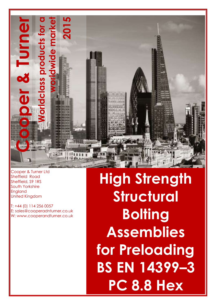

Cooper & Turner Ltd Sheffield Road Sheffield, S9 1RS South Yorkshire England United Kingdom

T: +44 (0) 114 256 0057 E: sales@cooperadnturner.co.uk W: www.cooperandturner.co.uk

**High Strength Structural Bolting Assemblies for Preloading BS EN 14399–3 PC 8.8 Hex**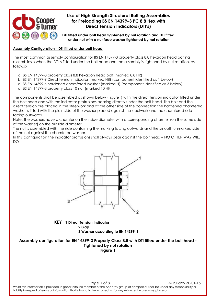

**DTI fitted under bolt head tightened by nut rotation and DTI fitted under nut with a nut face washer tightened by nut rotation**

#### **Assembly Configuration - DTI fitted under bolt head**

The most common assembly configuration for BS EN 14399-3 property class 8.8 hexagon head bolting assemblies is when the DTI is fitted under the bolt head and the assembly is tightened by nut rotation, as follows:-

- a) BS EN 14399-3 property class 8.8 hexagon head bolt (marked 8.8 HR)
- b) BS EN 14399-9 Direct tension indicator (marked H8) (component identified as 1 below)
- c) BS EN 14399-6 hardened chamfered washer (marked H) (component identified as 3 below)
- d) BS EN 14399-3 property class 10 nut (marked 10 HR)

The components shall be assembled as shown below (Figure1) with the direct tension indicator fitted under the bolt head and with the indicator protrusions bearing directly under the bolt head. The bolt and the direct tension are placed in the steelwork and at the other side of the connection the hardened chamfered washer is fitted with the plain side of the washer placed against the steelwork and the chamfered side facing outwards.

Note: The washers have a chamfer on the inside diameter with a corresponding chamfer (on the same side of the washer) on the outside diameter.

The nut is assembled with the side containing the marking facing outwards and the smooth unmarked side of the nut against the chamfered washer.

In this configuration the indicator protrusions shall always bear against the bolt head – NO OTHER WAY WILL DO



**KEY 1 Direct Tension Indicator 2 Gap 3 Washer according to EN 14399-6**

**Assembly configuration for EN 14399-3 Property Class 8.8 with DTI fitted under the bolt head - Tightened by nut rotation Figure 1**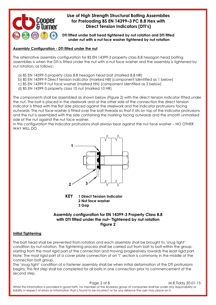

**DTI fitted under bolt head tightened by nut rotation and DTI fitted under nut with a nut face washer tightened by nut rotation**

#### **Assembly Configuration - DTI fitted under the nut**

The alternative assembly configuration for BS EN 14399-3 property class 8.8 hexagon head bolting assemblies is when the DTI is fitted under the nut with a nut face washer and the assembly is tightened by nut rotation, as follows:-

- a) BS EN 14399-3 property class 8.8 hexagon head bolt (marked 8.8 HR)
- b) BS EN 14399-9 Direct tension indicator (marked H8) (component identified as 1 below)
- c) BS EN 14399-9 nut face washer (marked HN) (component identified as 2 below)
- d) BS EN 14399-3 property class 10 nut (marked 10 HR)

The components shall be assembled as shown below (Figure 2) with the direct tension indicator fitted under the nut. The bolt is placed in the steelwork and at the other side of the connection the direct tension indicator is fitted with the flat side placed against the steelwork and the indicator protrusions facing outwards. The nut face washer is fitted over the bolt threads so that it sits on top of the indicator protrusions and the nut is assembled with the side containing the marking facing outwards and the smooth unmarked side of the nut against the nut face washer.

In this configuration the indicator protrusions shall always bear against the nut face washer – NO OTHER WAY WILL DO



**KEY 1 Direct Tension Indicator 2 Nut face washer 3 Gap**

### **Assembly configuration for EN 14399-3 Property Class 8.8 with DTI fitted under the nut– Tightened by nut rotation Figure 2**

#### **Initial Tightening**

The bolt head shall be prevented from rotation and each assembly shall be brought to 'snug tight' condition by nut rotation. The tightening process shall be carried out from bolt to bolt within the group, starting from the most rigid part of the connection and moving progressively towards the least rigid part. Note: The most rigid part of a cover plate connection of an 'I' section is commonly in the middle of the connection bolt group.

The 'snug tight' condition of a fastener assembly shall be when initial deformation of the DTI protrusions begins. This first step shall be completed for all bolts in one connection prior to commencement of the second step.

Page 2 of 8 M.R.Tiddy 30-01-15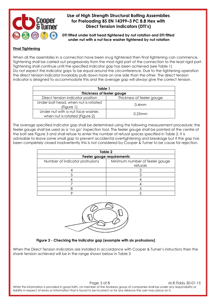

**DTI fitted under bolt head tightened by nut rotation and DTI fitted under nut with a nut face washer tightened by nut rotation**

#### **Final Tightening**

When all the assemblies in a connection have been snug tightened then final tightening can commence. Tightening shall be carried out progressively from the most rigid part of the connection to the least rigid part. Tightening shall continue until the specified indicator gap has been achieved (see Table 1) Do not expect the indicator gaps to be equal around the circumference. Due to the tightening operation the direct tension indicator invariably pulls down more on one side than the other. The direct tension indicator is designed to accommodate this and the average gap will always give the correct tension.

| Table 1                                                             |                           |  |  |  |  |  |
|---------------------------------------------------------------------|---------------------------|--|--|--|--|--|
| Thickness of feeler gauge                                           |                           |  |  |  |  |  |
| Direct tension indicator position                                   | Thickness of feeler gauge |  |  |  |  |  |
| Under bolt head, when nut is rotated<br>(Figure 1)                  | 0.4 <sub>mm</sub>         |  |  |  |  |  |
| Under nut with a nut face washer,<br>when nut is rotated (Figure 2) | $0.25$ mm                 |  |  |  |  |  |

The average specified indicator gap shall be determined using the following measurement procedure; the feeler gauge shall be used as a 'no go' inspection tool. The feeler gauge shall be pointed at the centre of the bolt see Figure 3 and shall refuse to enter the number of refusal spaces specified in Table 2. It is advisable to leave some small gap to prevent accidental overtightening and breakage but if the gap has been completely closed inadvertently this is not considered by Cooper & Turner to be cause for rejection.

| Table 2                         |                                            |  |  |  |  |
|---------------------------------|--------------------------------------------|--|--|--|--|
| Feeler gauge requirements       |                                            |  |  |  |  |
| Number of indicator protrusions | Minimum number of feeler gauge<br>refusals |  |  |  |  |
|                                 |                                            |  |  |  |  |
|                                 |                                            |  |  |  |  |
|                                 |                                            |  |  |  |  |
|                                 |                                            |  |  |  |  |
|                                 |                                            |  |  |  |  |
|                                 |                                            |  |  |  |  |



#### **Figure 3 - Checking the indicator gap (example with six protrusions)**

When the Direct Tension Indicators are installed in accordance with Cooper & Turner's instructions then the shank tension achieved will be in the range shown below in Table 3

Page 3 of 8 M.R.Tiddy 30-01-15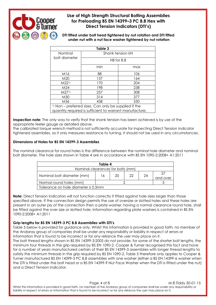

**DTI fitted under bolt head tightened by nut rotation and DTI fitted under nut with a nut face washer tightened by nut rotation**

| Table 3                                                                                                                     |                  |     |  |  |  |  |
|-----------------------------------------------------------------------------------------------------------------------------|------------------|-----|--|--|--|--|
| Nominal                                                                                                                     | Shank tension kN |     |  |  |  |  |
| bolt diameter                                                                                                               | H8 for 8.8       |     |  |  |  |  |
|                                                                                                                             | min              | max |  |  |  |  |
| M16                                                                                                                         | 88               | 106 |  |  |  |  |
| M <sub>20</sub>                                                                                                             | 137              | 164 |  |  |  |  |
| M2211                                                                                                                       | 170              | 204 |  |  |  |  |
| M24                                                                                                                         | 198              | 238 |  |  |  |  |
| M271                                                                                                                        | 257              | 308 |  |  |  |  |
| M30                                                                                                                         | 314              | 377 |  |  |  |  |
| M36                                                                                                                         | 458              | 550 |  |  |  |  |
| <sup>1)</sup> Non – preferred sizes. Can only be supplied if the<br>quantity required is sufficient to warrant manufacture. |                  |     |  |  |  |  |

**Inspection note:** The only way to verify that the shank tension has been achieved is by use of the appropriate feeler gauge as detailed above.

The calibrated torque wrench method is not sufficiently accurate for inspecting Direct Tension Indicator tightened assemblies, as it only measures resistance to turning. It should not be used in any circumstances.

#### **Dimensions of Holes for BS EN 14399-3 Assemblies**

The nominal clearance for round holes is the difference between the nominal hole diameter and nominal bolt diameter. The hole sizes shown in Table 4 are in accordance with BS EN 1090-2:2008+ A1:2011

| Table 4                            |    |    |    |    |          |  |
|------------------------------------|----|----|----|----|----------|--|
| Nominal clearances for bolts (mm)  |    |    |    |    |          |  |
| Nominal bolt diameter (mm)         | 16 | 20 | 22 | 24 | and over |  |
| Normal round holes (mm)            |    |    |    |    |          |  |
| Tolerance on hole diameter ± 0.5mm |    |    |    |    |          |  |

**Note:** Direct Tension Indicators will not function correctly if fitted against hole sizes larger than those specified above. If the connection design permits the use of oversize or slotted holes and these holes are present in an outer ply of the connection then a plate washer, having a normal clearance round hole, shall be fitted against the over size or slotted hole. Information regarding plate washers is contained in BS EN 1090-2:2008+ A1:2011

#### **Grip lengths for BS EN 14399-3 PC 8.8 Assemblies with DTI's**

Table 5 below is provided for guidance only. Whilst this information is provided in good faith, no member of the Andaray group of companies shall be under any responsibility or liability in respect of errors or information that is found to be incorrect or for any reliance the user may place on it.

The bolt thread lengths shown in BS EN 14399-3:2005 do not provide, for some of the shorter bolt lengths, the minimum four threads in the grip required by BS EN 1090-2. Cooper & Turner recognised this fact and have for a number of years manufactured certain of their BS EN 14399-3 assemblies with longer thread lengths to satisfy the minimum threads in the grip required by BS EN 1090-2. Table 5 therefore only applies to Cooper & Turner manufactured BS EN 14399-3 PC 8.8 assemblies with one washer (either a BS EN 14399-6 washer when the DTI is fitted under the bolt head or a BS EN 14399-9 Nut Face Washer when the DTI is fitted under the nut) and a Direct Tension Indicator.

Page 4 of 8 M.R.Tiddy 30-01-15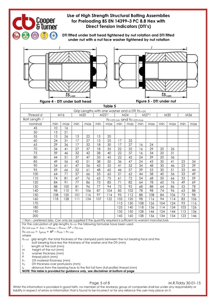

Page 5 of 8 M.R.Tiddy 30-01-15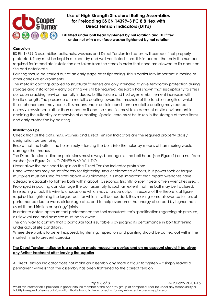

**DTI fitted under bolt head tightened by nut rotation and DTI fitted under nut with a nut face washer tightened by nut rotation**

#### **Corrosion**

BS EN 14399-3 assemblies, bolts, nuts, washers and Direct Tension Indicators, will corrode if not properly protected. They must be kept in a clean dry and well ventilated store. It is important that only the number required for immediate installation are taken from the stores in order that none are allowed to lie about on site and deteriorate.

Painting should be carried out at an early stage after tightening. This is particularly important in marine or other corrosive environments.

The metallic coatings applied to structural fasteners are only intended to give temporary protection during storage and installation – early painting will still be required. Research has shown that susceptibility to stress corrosion cracking, environmentally induced brittle failure and hydrogen embrittlement increases with tensile strength. The presence of a metallic coating lowers the threshold of the tensile strength at which these phenomena may occur. This means under certain conditions a metallic coating may reduce corrosive resistance, rather than enhance it and the specifier must take account of site environment in deciding the suitability or otherwise of a coating. Special care must be taken in the storage of these items and early protection by painting.

### **Installation Tips**

Check that all the bolts, nuts, washers and Direct Tension Indicators are the required property class / designation before fixing.

Ensure that the bolts fit the holes freely – forcing the bolts into the holes by means of hammering would damage the threads

The Direct Tension Indicator protrusions must always bear against the bolt head (see Figure 1) or a nut face washer (see Figure 2) – NO OTHER WAY WILL DO

Never allow the bolt head to spin on the Direct Tension Indicator protrusions

Hand wrenches may be satisfactory for tightening smaller diameters of bolts, but power tools or torque multipliers must be used for sizes above M20 diameter. It is most important that impact wrenches have adequate capacity to tighten bolts within about 15 seconds (slightly longer if gear driven wrenches used). Prolonged impacting can damage the bolt assembly to such an extent that the bolt may be fractured. In selecting a tool, it is wise to choose one which has a torque output in excess of the theoretical figure required for tightening the largest bolt for which it will be needed, thus making some allowance for loss of performance due to wear, air leakage etc., and to help overcome the energy absorbed by higher than usual thread friction or 'springy' joints.

In order to obtain optimum tool performance the tool manufacturer's specification regarding air pressure, air flow volume and hose size must be followed.

The only way to confirm that a particular tool is suitable is by judging its performance in bolt tightening under actual site conditions.

Where steelwork is to be left exposed, tightening, inspection and painting should be carried out within the shortest time to prevent corrosion

### **The Direct Tension Indicator is a precision made measuring device and on no account should it be given any further treatment after leaving the supplier**

A Direct Tension Indicator does not make an assembly any more difficult to tighten – it simply leaves a permanent witness that the assembly has been tightened to the correct tension